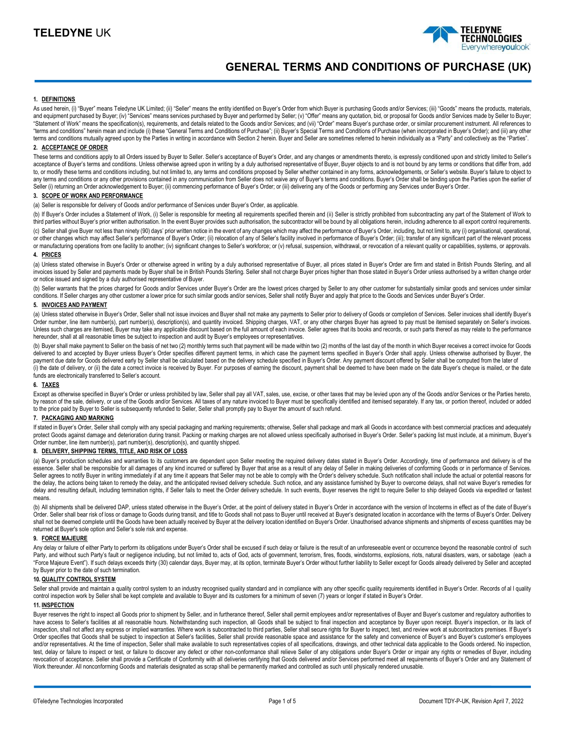

# **GENERAL TERMS AND CONDITIONS OF PURCHASE (UK)**

#### **1. DEFINITIONS**

As used herein, (i) "Buyer" means Teledyne UK Limited; (ii) "Seller" means the entity identified on Buyer's Order from which Buyer is purchasing Goods and/or Services; (iii) "Goods" means the products, materials, and equipment purchased by Buyer; (iv) "Services" means services purchased by Buyer and performed by Seller; (v) "Offer" means any quotation, bid, or proposal for Goods and/or Services made by Seller to Buyer; "Statement of Work" means the specification(s), requirements, and details related to the Goods and/or Services; and (vii) "Order" means Buyer's purchase order, or similar procurement instrument. All references to "terms and conditions" herein mean and include (i) these "General Terms and Conditions of Purchase"; (ii) Buyer's Special Terms and Conditions of Purchase (when incorporated in Buyer's Order); and (iii) any other terms and conditions mutually agreed upon by the Parties in writing in accordance with Section 2 herein. Buyer and Seller are sometimes referred to herein individually as a "Party" and collectively as the "Parties".

# **2. ACCEPTANCE OF ORDER**

These terms and conditions apply to all Orders issued by Buyer to Seller. Seller's acceptance of Buyer's Order, and any changes or amendments thereto, is expressly conditioned upon and strictly limited to Seller's acceptance of Buyer's terms and conditions. Unless otherwise agreed upon in writing by a duly authorised representative of Buyer, Buyer objects to and is not bound by any terms or conditions that differ from, add to, or modify these terms and conditions including, but not limited to, any terms and conditions proposed by Seller whether contained in any forms, acknowledgements, or Seller's website. Buyer's failure to object to any terms and conditions or any other provisions contained in any communication from Seller does not waive any of Buyer's terms and conditions. Buyer's Order shall be binding upon the Parties upon the earlier of Seller (i) returning an Order acknowledgement to Buyer; (ii) commencing performance of Buyer's Order; or (iii) delivering any of the Goods or performing any Services under Buyer's Order.

#### **3. SCOPE OF WORK AND PERFORMANCE**

(a) Seller is responsible for delivery of Goods and/or performance of Services under Buyer's Order, as applicable.

(b) If Buyer's Order includes a Statement of Work, (i) Seller is responsible for meeting all requirements specified therein and (ii) Seller is strictly prohibited from subcontracting any part of the Statement of Work to third parties without Buyer's prior written authorisation. In the event Buyer provides such authorisation, the subcontractor will be bound by all obligations herein, including adherence to all export control requirements. (c) Seller shall give Buyer not less than ninety (90) days' prior written notice in the event of any changes which may affect the performance of Buyer's Order, including, but not limit to, any (i) organisational, operation

or other changes which may affect Seller's performance of Buyer's Order; (ii) relocation of any of Seller's facility involved in performance of Buyer's Order; (iii); transfer of any significant part of the relevant process or manufacturing operations from one facility to another; (iv) significant changes to Seller's workforce; or (v) refusal, suspension, withdrawal, or revocation of a relevant quality or capabilities, systems, or approvals.

## **4. PRICES**

(a) Unless stated otherwise in Buyer's Order or otherwise agreed in writing by a duly authorised representative of Buyer, all prices stated in Buyer's Order are firm and stated in British Pounds Sterling, and all invoices issued by Seller and payments made by Buyer shall be in British Pounds Sterling. Seller shall not charge Buyer prices higher than those stated in Buyer's Order unless authorised by a written change order or notice issued and signed by a duly authorised representative of Buyer.

(b) Seller warrants that the prices charged for Goods and/or Services under Buyer's Order are the lowest prices charged by Seller to any other customer for substantially similar goods and services under similar conditions. If Seller charges any other customer a lower price for such similar goods and/or services, Seller shall notify Buyer and apply that price to the Goods and Services under Buyer's Order.

## **5. INVOICES AND PAYMENT**

(a) Unless stated otherwise in Buyer's Order, Seller shall not issue invoices and Buyer shall not make any payments to Seller prior to delivery of Goods or completion of Services. Seller invoices shall identify Buyer's Order number, line item number(s), part number(s), description(s), and quantity invoiced. Shipping charges, VAT, or any other charges Buyer has agreed to pay must be itemised separately on Seller's invoices. Unless such charges are itemised, Buyer may take any applicable discount based on the full amount of each invoice. Seller agrees that its books and records, or such parts thereof as may relate to the performance hereunder, shall at all reasonable times be subject to inspection and audit by Buyer's employees or representatives.

(b) Buyer shall make payment to Seller on the basis of net two (2) monthly terms such that payment will be made within two (2) months of the last day of the month in which Buyer receives a correct invoice for Goods delivered to and accepted by Buyer unless Buyer's Order specifies different payment terms, in which case the payment terms specified in Buyer's Order shall apply. Unless otherwise authorised by Buyer, the payment due date for Goods delivered early by Seller shall be calculated based on the delivery schedule specified in Buyer's Order. Any payment discount offered by Seller shall be computed from the later of (i) the date of delivery, or (ii) the date a correct invoice is received by Buyer. For purposes of earning the discount, payment shall be deemed to have been made on the date Buyer's cheque is mailed, or the date funds are electronically transferred to Seller's account.

## **6. TAXES**

Except as otherwise specified in Buyer's Order or unless prohibited by law, Seller shall pay all VAT, sales, use, excise, or other taxes that may be levied upon any of the Goods and/or Services or the Parties hereto, by reason of the sale, delivery, or use of the Goods and/or Services. All taxes of any nature invoiced to Buyer must be specifically identified and itemised separately. If any tax, or portion thereof, included or added to the price paid by Buyer to Seller is subsequently refunded to Seller, Seller shall promptly pay to Buyer the amount of such refund.

### **7. PACKAGING AND MARKING**

If stated in Buyer's Order, Seller shall comply with any special packaging and marking requirements; otherwise, Seller shall package and mark all Goods in accordance with best commercial practices and adequately protect Goods against damage and deterioration during transit. Packing or marking charges are not allowed unless specifically authorised in Buyer's Order. Seller's packing list must include, at a minimum, Buyer's Order number, line item number(s), part number(s), description(s), and quantity shipped.

# **8. DELIVERY, SHIPPING TERMS, TITLE, AND RISK OF LOSS**

(a) Buyer's production schedules and warranties to its customers are dependent upon Seller meeting the required delivery dates stated in Buyer's Order. Accordingly, time of performance and delivery is of the essence. Seller shall be responsible for all damages of any kind incurred or suffered by Buyer that arise as a result of any delay of Seller in making deliveries of conforming Goods or in performance of Services. Seller agrees to notify Buyer in writing immediately if at any time it appears that Seller may not be able to comply with the Order's delivery schedule. Such notification shall include the actual or potential reasons for the delay, the actions being taken to remedy the delay, and the anticipated revised delivery schedule. Such notice, and any assistance furnished by Buyer to overcome delays, shall not waive Buyer's remedies for delay and resulting default, including termination rights, if Seller fails to meet the Order delivery schedule. In such events, Buyer reserves the right to require Seller to ship delayed Goods via expedited or fastest means.

(b) All shipments shall be delivered DAP, unless stated otherwise in the Buyer's Order, at the point of delivery stated in Buyer's Order in accordance with the version of Incoterms in effect as of the date of Buyer's Order. Seller shall bear risk of loss or damage to Goods during transit, and title to Goods shall not pass to Buyer until received at Buyer's designated location in accordance with the terms of Buyer's Order. Delivery shall not be deemed complete until the Goods have been actually received by Buyer at the delivery location identified on Buyer's Order. Unauthorised advance shipments and shipments of excess quantities may be returned at Buyer's sole option and Seller's sole risk and expense.

#### **9. FORCE MAJEURE**

Any delay or failure of either Party to perform its obligations under Buyer's Order shall be excused if such delay or failure is the result of an unforeseeable event or occurrence beyond the reasonable control of such Party, and without such Party's fault or negligence including, but not limited to, acts of God, acts of government, terrorism, fires, floods, windstorms, explosions, riots, natural disasters, wars, or sabotage (each a "Force Majeure Event"). If such delays exceeds thirty (30) calendar days, Buyer may, at its option, terminate Buyer's Order without further liability to Seller except for Goods already delivered by Seller and accepted by Buyer prior to the date of such termination.

## **10. QUALITY CONTROL SYSTEM**

Seller shall provide and maintain a quality control system to an industry recognised quality standard and in compliance with any other specific quality requirements identified in Buyer's Order. Records of al I quality control inspection work by Seller shall be kept complete and available to Buyer and its customers for a minimum of seven (7) years or longer if stated in Buyer's Order.

## **11. INSPECTION**

Buyer reserves the right to inspect all Goods prior to shipment by Seller, and in furtherance thereof, Seller shall permit employees and/or representatives of Buyer and Buyer's customer and regulatory authorities to have access to Seller's facilities at all reasonable hours. Notwithstanding such inspection, all Goods shall be subject to final inspection and acceptance by Buyer upon receipt. Buyer's inspection, or its lack of inspection, shall not affect any express or implied warranties. Where work is subcontracted to third parties, Seller shall secure rights for Buyer to inspect, test, and review work at subcontractors premises. If Buyer's Order specifies that Goods shall be subject to inspection at Seller's facilities, Seller shall provide reasonable space and assistance for the safety and convenience of Buyer's and Buyer's customer's employees and/or representatives. At the time of inspection, Seller shall make available to such representatives copies of all specifications, drawings, and other technical data applicable to the Goods ordered. No inspection, test, delay or failure to inspect or test, or failure to discover any defect or other non-conformance shall relieve Seller of any obligations under Buyer's Order or impair any rights or remedies of Buyer, including revocation of acceptance. Seller shall provide a Certificate of Conformity with all deliveries certifying that Goods delivered and/or Services performed meet all requirements of Buyer's Order and any Statement of Work thereunder. All nonconforming Goods and materials designated as scrap shall be permanently marked and controlled as such until physically rendered unusable.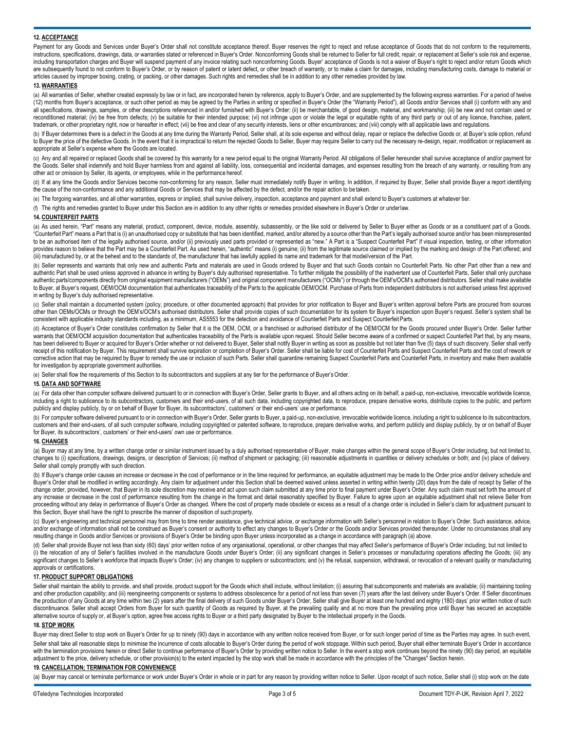## **12. ACCEPTANCE**

Payment for any Goods and Services under Buyer's Order shall not constitute acceptance thereof. Buyer reserves the right to reject and refuse acceptance of Goods that do not conform to the requirements, instructions, specifications, drawings, data, or warranties stated or referenced in Buyer's Order. Nonconforming Goods shall be returned to Seller for full credit, repair, or replacement at Seller's sole risk and expense, including transportation charges and Buyer will suspend payment of any invoice relating such nonconforming Goods. Buyer' acceptance of Goods is not a waiver of Buyer's right to reject and/or return Goods which are subsequently found to not conform to Buyer's Order, or by reason of patent or latent defect, or other breach of warranty, or to make a claim for damages, including manufacturing costs, damage to material or articles caused by improper boxing, crating, or packing, or other damages. Such rights and remedies shall be in addition to any other remedies provided by law.

#### **13. WARRANTIES**

(a) All warranties of Seller, whether created expressly by law or in fact, are incorporated herein by reference, apply to Buyer's Order, and are supplemented by the following express warranties. For a period of twelve (12) months from Buyer's acceptance, or such other period as may be agreed by the Parties in writing or specified in Buyer's Order (the "Warranty Period"), all Goods and/or Services shall (i) conform with any and all specifications, drawings, samples, or other descriptions referenced in and/or furnished with Buyer's Order; (ii) be merchantable, of good design, material, and workmanship; (iii) be new and not contain used or reconditioned material; (iv) be free from defects; (v) be suitable for their intended purpose; (vi) not infringe upon or violate the legal or equitable rights of any third party or out of any licence, franchise, patent, trademark, or other proprietary right, now or hereafter in effect; (vii) be free and clear of any security interests, liens or other encumbrances; and (viii) comply with all applicable laws and regulations.

(b) If Buyer determines there is a defect in the Goods at any time during the Warranty Period, Seller shall, at its sole expense and without delay, repair or replace the defective Goods or, at Buyer's sole option, refund to Buyer the price of the defective Goods. In the event that it is impractical to return the rejected Goods to Seller, Buyer may require Seller to carry out the necessary re-design, repair, modification or replacement as appropriate at Seller's expense where the Goods are located.

(c) Any and all repaired or replaced Goods shall be covered by this warranty for a new period equal to the original Warranty Period. All obligations of Seller hereunder shall survive acceptance of and/or payment for the Goods. Seller shall indemnify and hold Buyer harmless from and against all liability, loss, consequential and incidental damages, and expenses resulting from the breach of any warranty, or resulting from any other act or omission by Seller, its agents, or employees, while in the performance hereof.

(d) If at any time the Goods and/or Services become non-conforming for any reason, Seller must immediately notify Buyer in writing. In addition, if required by Buyer, Seller shall provide Buyer a report identifying the cause of the non-conformance and any additional Goods or Services that may be affected by the defect, and/or the repair action to be taken.

(e) The forgoing warranties, and all other warranties, express or implied, shall survive delivery, inspection, acceptance and payment and shall extend to Buyer's customers at whatever tier.

(f) The rights and remedies granted to Buyer under this Section are in addition to any other rights or remedies provided elsewhere in Buyer's Order or underlaw.

#### **14. COUNTERFEIT PARTS**

(a) As used herein, "Part" means any material, product, component, device, module, assembly, subassembly, or the like sold or delivered by Seller to Buyer either as Goods or as a constituent part of a Goods. "Counterfeit Part" means a Part that is (i) an unauthorised copy or substitute that has been identified, marked, and/or altered by a source other than the Part's legally authorised source and/or has been misrepresented to be an authorised item of the legally authorised source, and/or (ii) previously used parts provided or represented as "new." A Part is a "Suspect Counterfeit Part" if visual inspection, testing, or other information provides reason to believe that the Part may be a Counterfeit Part. As used herein, "authentic" means (i) genuine; (ii) from the legitimate source claimed or implied by the marking and design of the Part offered; and (iii) manufactured by, or at the behest and to the standards of, the manufacturer that has lawfully applied its name and trademark for that model/version of the Part.

(b) Seller represents and warrants that only new and authentic Parts and materials are used in Goods ordered by Buyer and that such Goods contain no Counterfeit Parts. No other Part other than a new and authentic Part shall be used unless approved in advance in writing by Buyer's duly authorised representative. To further mitigate the possibility of the inadvertent use of Counterfeit Parts, Seller shall only purchase authentic parts/components directly from original equipment manufacturers ("OEMs") and original component manufacturers ("OCMs") or through the OEM's/OCM's authorised distributors. Seller shall make available to Buyer, at Buyer's request, OEM/OCM documentation that authenticates traceability of the Parts to the applicable OEM/OCM. Purchase of Parts from independent distributors is not authorised unless first approved in writing by Buyer's duly authorised representative.

(c) Seller shall maintain a documented system (policy, procedure, or other documented approach) that provides for prior notification to Buyer and Buyer's written approval before Parts are procured from sources other than OEMs/OCMs or through the OEM's/OCM's authorised distributors. Seller shall provide copies of such documentation for its system for Buyer's inspection upon Buyer's request. Seller's system shall be consistent with applicable industry standards including, as a minimum, AS5553 for the detection and avoidance of Counterfeit Parts and Suspect Counterfeit Parts.

(d) Acceptance of Buyer's Order constitutes confirmation by Seller that it is the OEM, OCM, or a franchised or authorised distributor of the OEM/OCM for the Goods procured under Buyer's Order. Seller further warrants that OEM/OCM acquisition documentation that authenticates traceability of the Parts is available upon request. Should Seller become aware of a confirmed or suspect Counterfeit Part that, by any means, has been delivered to Buyer or acquired for Buyer's Order whether or not delivered to Buyer, Seller shall notify Buyer in writing as soon as possible but not later than five (5) days of such discovery. Seller shall verify receipt of this notification by Buyer. This requirement shall survive expiration or completion of Buyer's Order. Seller shall be liable for cost of Counterfeit Parts and Suspect Counterfeit Parts and the cost of rework or corrective action that may be required by Buyer to remedy the use or inclusion of such Parts. Seller shall quarantine remaining Suspect Counterfeit Parts and Counterfeit Parts, in inventory and make them available for investigation by appropriate government authorities.

(e) Seller shall flow the requirements of this Section to its subcontractors and suppliers at any tier for the performance of Buyer'sOrder.

#### **15. DATA AND SOFTWARE**

(a) For data other than computer software delivered pursuant to or in connection with Buyer's Order, Seller grants to Buyer, and all others acting on its behalf, a paid-up, non-exclusive, irrevocable worldwide licence, including a right to sublicence to its subcontractors, customers and their end-users, of all such data, including copyrighted data, to reproduce, prepare derivative works, distribute copies to the public, and perform publicly and display publicly, by or on behalf of Buyer for Buyer, its subcontractors', customers' or their end-users' use or performance.

(b) For computer software delivered pursuant to or in connection with Buyer's Order, Seller grants to Buyer, a paid-up, non-exclusive, irrevocable worldwide licence, including a right to sublicence to its subcontractors, customers and their end-users, of all such computer software, including copyrighted or patented software, to reproduce, prepare derivative works, and perform publicly and display publicly, by or on behalf of Buyer for Buyer, its subcontractors', customers' or their end-users' own use or performance.

#### **16. CHANGES**

(a) Buyer may at any time, by a written change order or similar instrument issued by a duly authorised representative of Buyer, make changes within the general scope of Buyer's Order including, but not limited to, changes to (i) specifications, drawings, designs, or description of Services; (ii) method of shipment or packaging; (iii) reasonable adjustments in quantities or delivery schedules or both; and (iv) place of delivery. Seller shall comply promptly with such direction.

(b) If Buyer's change order causes an increase or decrease in the cost of performance or in the time required for performance, an equitable adjustment may be made to the Order price and/or delivery schedule and Buyer's Order shall be modified in writing accordingly. Any claim for adjustment under this Section shall be deemed waived unless asserted in writing within twenty (20) days from the date of receipt by Seller of the change order, provided, however, that Buyer in its sole discretion may receive and act upon such claim submitted at any time prior to final payment under Buyer's Order. Any such claim must set forth the amount of any increase or decrease in the cost of performance resulting from the change in the format and detail reasonably specified by Buyer. Failure to agree upon an equitable adjustment shall not relieve Seller from proceeding without any delay in performance of Buyer's Order as changed. Where the cost of property made obsolete or excess as a result of a change order is included in Seller's claim for adjustment pursuant to this Section, Buyer shall have the right to prescribe the manner of disposition of such property.

(c) Buyer's engineering and technical personnel may from time to time render assistance, give technical advice, or exchange information with Seller's personnel in relation to Buyer's Order. Such assistance, advice, and/or exchange of information shall not be construed as Buyer's consent or authority to effect any changes to Buyer's Order or the Goods and/or Services provided thereunder. Under no circumstances shall any resulting change in Goods and/or Services or provisions of Buyer's Order be binding upon Buyer unless incorporated as a change in accordance with paragraph (a) above.

(d) Seller shall provide Buyer not less than sixty (60) days' prior written notice of any organisational, operational, or other changes that may affect Seller's performance of Buyer's Order including, but not limited to (i) the relocation of any of Seller's facilities involved in the manufacture Goods under Buyer's Order; (ii) any significant changes in Seller's processes or manufacturing operations affecting the Goods; (iii) any significant changes to Seller's workforce that impacts Buyer's Order; (iv) any changes to suppliers or subcontractors; and (v) the refusal, suspension, withdrawal, or revocation of a relevant quality or manufacturing approvals or certifications.

#### **17. PRODUCT SUPPORT OBLIGATIONS**

Seller shall maintain the ability to provide, and shall provide, product support for the Goods which shall include, without limitation; (i) assuring that subcomponents and materials are available; (ii) maintaining tooling and other production capability; and (iii) reengineering components or systems to address obsolescence for a period of not less than seven (7) years after the last delivery under Buyer's Order. If Seller discontinues the production of any Goods at any time within two (2) years after the final delivery of such Goods under Buyer's Order, Seller shall give Buyer at least one hundred and eighty (180) days' prior written notice of such discontinuance. Seller shall accept Orders from Buyer for such quantity of Goods as required by Buyer, at the prevailing quality and at no more than the prevailing price until Buyer has secured an acceptable alternative source of supply or, at Buyer's option, agree free access rights to Buyer or a third party designated by Buyer to the intellectual property in the Goods.

## **18. STOP WORK**

Buyer may direct Seller to stop work on Buyer's Order for up to ninety (90) days in accordance with any written notice received from Buyer, or for such longer period of time as the Parties may agree. In such event, Seller shall take all reasonable steps to minimise the incurrence of costs allocable to Buyer's Order to auring the period of work stoppage. Within such period, Buyer shall either terminate Buyer's Order in accordance with the termination provisions herein or direct Seller to continue performance of Buyer's Order by providing written notice to Seller. In the event a stop work continues beyond the ninety (90) day period, an equitable adjustment to the price, delivery schedule, or other provision(s) to the extent impacted by the stop work shall be made in accordance with the principles of the "Changes" Section herein.

#### **19. CANCELLATION; TERMINATION FOR CONVENIENCE**

(a) Buyer may cancel or terminate performance or work under Buyer's Order in whole or in part for any reason by providing written notice to Seller. Upon receipt of such notice, Seller shall (i) stop work on the date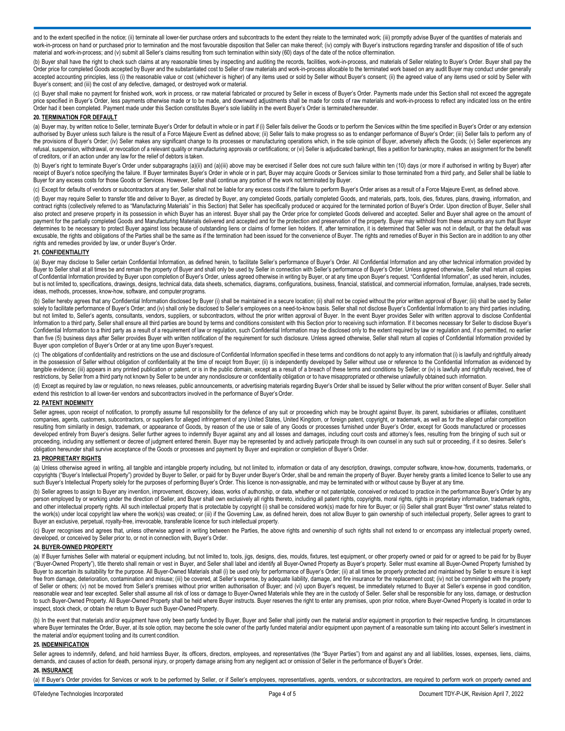and to the extent specified in the notice; (ii) terminate all lower-tier purchase orders and subcontracts to the extent they relate to the terminated work; (iii) promptly advise Buyer of the quantities of materials and work-in-process on hand or purchased prior to termination and the most favourable disposition that Seller can make thereof; (iv) comply with Buyer's instructions regarding transfer and disposition of title of such material and work-in-process; and (v) submit all Seller's claims resulting from such termination within sixty (60) days of the date of the notice oftermination.

(b) Buyer shall have the right to check such claims at any reasonable times by inspecting and auditing the records, facilities, work-in-process, and materials of Seller relating to Buyer's Order. Buyer shall pay the Order price for completed Goods accepted by Buyer and the substantiated cost to Seller of raw materials and work-in-process allocable to the terminated work based on any audit Buyer may conduct under generally accepted accounting principles, less (i) the reasonable value or cost (whichever is higher) of any items used or sold by Seller without Buyer's consent; (ii) the agreed value of any items used or sold by Seller with Buyer's consent; and (iii) the cost of any defective, damaged, or destroyed work or material.

(c) Buyer shall make no payment for finished work, work in process, or raw material fabricated or procured by Seller in excess of Buyer's Order. Payments made under this Section shall not exceed the aggregate price specified in Buyer's Order, less payments otherwise made or to be made, and downward adjustments shall be made for costs of raw materials and work-in-process to reflect any indicated loss on the entire Order had it been completed. Payment made under this Section constitutes Buyer's sole liability in the event Buyer's Order is terminatedhereunder.

## **20. TERMINATION FOR DEFAULT**

(a) Buyer may, by written notice to Seller, terminate Buyer's Order for default in whole or in part if (i) Seller fails deliver the Goods or to perform the Services within the time specified in Buyer's Order or any extensi authorised by Buyer unless such failure is the result of a Force Majeure Event as defined above; (ii) Seller fails to make progress so as to endanger performance of Buyer's Order; (iii) Seller fails to perform any of the provisions of Buyer's Order; (iv) Seller makes any significant change to its processes or manufacturing operations which, in the sole opinion of Buyer, adversely affects the Goods; (v) Seller experiences any refusal, suspension, withdrawal, or revocation of a relevant quality or manufacturing approvals or certifications; or (vi) Seller is adjudicated bankrupt, files a petition for bankruptcy, makes an assignment for the benefi of creditors, or if an action under any law for the relief of debtors is taken.

(b) Buyer's right to terminate Buyer's Order under subparagraphs (a)(ii) and (a)(iii) above may be exercised if Seller does not cure such failure within ten (10) days (or more if authorised in writing by Buyer) after receipt of Buyer's notice specifying the failure. If Buyer terminates Buyer's Order in whole or in part, Buyer may acquire Goods or Services similar to those terminated from a third party, and Seller shall be liable to Buyer for any excess costs for those Goods or Services. However, Seller shall continue any portion of the work not terminated by Buyer.

(c) Except for defaults of vendors or subcontractors at any tier, Seller shall not be liable for any excess costs if the failure to perform Buyer's Order arises as a result of a Force Majeure Event, as defined above.

(d) Buyer may require Seller to transfer title and deliver to Buyer, as directed by Buyer, any completed Goods, partially completed Goods, and materials, parts, tools, dies, fixtures, plans, drawing, information, and contract rights (collectively referred to as "Manufacturing Materials" in this Section) that Seller has specifically produced or acquired for the terminated portion of Buyer's Order. Upon direction of Buyer, Seller shall also protect and preserve property in its possession in which Buyer has an interest. Buyer shall pay the Order price for completed Goods delivered and accepted. Seller and Buyer shall agree on the amount of payment for the partially completed Goods and Manufacturing Materials delivered and accepted and for the protection and preservation of the property. Buyer may withhold from these amounts any sum that Buyer determines to be necessary to protect Buyer against loss because of outstanding liens or claims of former lien holders. If, after termination, it is determined that Seller was not in default, or that the default was excusable, the rights and obligations of the Parties shall be the same as if the termination had been issued for the convenience of Buyer. The rights and remedies of Buyer in this Section are in addition to any other rights and remedies provided by law, or under Buyer's Order.

#### **21. CONFIDENTIALITY**

(a) Buyer may disclose to Seller certain Confidential Information, as defined herein, to facilitate Seller's performance of Buyer's Order. All Confidential Information and any other technical information provided by Buyer to Seller shall at all times be and remain the property of Buyer and shall only be used by Seller in connection with Seller's performance of Buyer's Order. Unless agreed otherwise, Seller shall return all copies of Confidential Information provided by Buyer upon completion of Buyer's Order, unless agreed otherwise in writing by Buyer, or at any time upon Buyer's request. "Confidential Information", as used herein, includes, but is not limited to, specifications, drawings, designs, technical data, data sheets, schematics, diagrams, configurations, business, financial, statistical, and commercial information, formulae, analyses, trade secrets, ideas, methods, processes, know-how, software, and computer programs.

(b) Seller hereby agrees that any Confidential Information disclosed by Buyer (i) shall be maintained in a secure location; (ii) shall not be copied without the prior written approval of Buyer; (iii) shall be used by Seller solely to facilitate performance of Buyer's Order; and (iv) shall only be disclosed to Seller's employees on a need-to-know basis. Seller shall not disclose Buyer's Confidential Information to any third parties including, but not limited to, Seller's agents, consultants, vendors, suppliers, or subcontractors, without the prior written approval of Buyer. In the event Buyer provides Seller with written approval to disclose Confidential Information to a third party, Seller shall ensure all third parties are bound by terms and conditions consistent with this Section prior to receiving such information. If it becomes necessary for Seller to disclose Buyer's Confidential Information to a third party as a result of a requirement of law or regulation, such Confidential Information may be disclosed only to the extent required by law or regulation and, if so permitted, no earlier than five (5) business days after Seller provides Buyer with written notification of the requirement for such disclosure. Unless agreed otherwise, Seller shall return all copies of Confidential Information provided by Buyer upon completion of Buyer's Order or at any time upon Buyer's request.

(c) The obligations of confidentiality and restrictions on the use and disclosure of Confidential Information specified in these terms and conditions do not apply to any information that (i) is lawfully and rightfully alre in the possession of Seller without obligation of confidentiality at the time of receipt from Buyer; (ii) is independently developed by Seller without use or reference to the Confidential Information as evidenced by tangible evidence; (iii) appears in any printed publication or patent, or is in the public domain, except as a result of a breach of these terms and conditions by Seller; or (iv) is lawfully and rightfully received, free o restrictions, by Seller from a third party not known by Seller to be under any nondisclosure or confidentiality obligation or to havemisappropriated or otherwise unlawfully obtained such information.

(d) Except as required by law or regulation, no news releases, public announcements, or advertising materials regarding Buyer's Order shall be issued by Seller without the prior written consent of Buyer. Seller shall extend this restriction to all lower-tier vendors and subcontractors involved in the performance of Buyer's Order.

#### **22. PATENT INDEMNITY**

Seller agrees, upon receipt of notification, to promptly assume full responsibility for the defence of any suit or proceeding which may be brought against Buyer, its parent, subsidiaries or affiliates, constituent companies, agents, customers, subcontractors, or suppliers for alleged infringement of any United States, United Kingdom, or foreign patent, copyright, or trademark, as well as for the alleged unfair competition resulting from similarity in design, trademark, or appearance of Goods, by reason of the use or sale of any Goods or processes furnished under Buyer's Order, except for Goods manufactured or processes developed entirely from Buyer's designs. Seller further agrees to indemnify Buyer against any and all losses and damages, including court costs and attorney's fees, resulting from the bringing of such suit or proceeding, including any settlement or decree of judgment entered therein. Buyer may be represented by and actively participate through its own counsel in any such suit or proceeding, if it so desires. Seller's obligation hereunder shall survive acceptance of the Goods or processes and payment by Buyer and expiration or completion of Buyer's Order.

#### **23. PROPRIETARY RIGHTS**

(a) Unless otherwise agreed in writing, all tangible and intangible property including, but not limited to, information or data of any description, drawings, computer software, know-how, documents, trademarks, or copyrights ("Buyer's Intellectual Property") provided by Buyer to Seller, or paid for by Buyer under Buyer's Order, shall be and remain the property of Buyer. Buyer hereby grants a limited licence to Seller to use any such Buyer's Intellectual Property solely for the purposes of performing Buyer's Order. This licence is non-assignable, and may be terminated with or without cause by Buyer at any time.

(b) Seller agrees to assign to Buyer any invention, improvement, discovery, ideas, works of authorship, or data, whether or not patentable, conceived or reduced to practice in the performance Buyer's Order by any person employed by or working under the direction of Seller, and Buyer shall own exclusively all rights thereto, including all patent rights, copyrights, moral rights, rights in proprietary information, trademark rights, and other intellectual property rights. All such intellectual property that is protectable by copyright (i) shall be considered work(s) made for hire for Buyer; or (ii) Seller shall grant Buyer "first owner" status related the work(s) under local copyright law where the work(s) was created; or (iii) if the Governing Law, as defined herein, does not allow Buyer to gain ownership of such intellectual property, Seller agrees to grant to Buyer an exclusive, perpetual, royalty-free, irrevocable, transferable licence for such intellectual property.

(c) Buyer recognises and agrees that, unless otherwise agreed in writing between the Parties, the above rights and ownership of such rights shall not extend to or encompass any intellectual property owned, developed, or conceived by Seller prior to, or not in connection with, Buyer's Order.

## **24. BUYER-OWNED PROPERTY**

(a) If Buyer furnishes Seller with material or equipment including, but not limited to, tools, jigs, designs, dies, moulds, fixtures, test equipment, or other property owned or paid for or agreed to be paid for by Buyer ("Buyer-Owned Property"), title thereto shall remain or vest in Buyer, and Seller shall label and identify all Buyer-Owned Property as Buyer's property. Seller must examine all Buyer-Owned Property furnished by Buyer to ascertain its suitability for the purpose. All Buyer-Owned Materials shall (i) be used only for performance of Buyer's Order; (ii) at all times be properly protected and maintained by Seller to ensure it is kept free from damage, deterioration, contamination and misuse; (iii) be covered, at Seller's expense, by adequate liability, damage, and fire insurance for the replacement cost; (iv) not be commingled with the property of Seller or others; (v) not be moved from Seller's premises without prior written authorisation of Buyer; and (vi) upon Buyer's request, be immediately returned to Buyer at Seller's expense in good condition, reasonable wear and tear excepted. Seller shall assume all risk of loss or damage to Buyer-Owned Materials while they are in the custody of Seller. Seller shall be responsible for any loss, damage, or destruction to such Buyer-Owned Property. All Buyer-Owned Property shall be held where Buyer instructs. Buyer reserves the right to enter any premises, upon prior notice, where Buyer-Owned Property is located in order to inspect, stock check, or obtain the return to Buyer such Buyer-Owned Property.

(b) In the event that materials and/or equipment have only been partly funded by Buyer, Buyer and Seller shall jointly own the material and/or equipment in proportion to their respective funding. In circumstances where Buyer terminates the Order, Buyer, at its sole option, may become the sole owner of the partly funded material and/or equipment upon payment of a reasonable sum taking into account Seller's investment in the material and/or equipment tooling and its current condition.

## **25. INDEMNIFICATION**

Seller agrees to indemnify, defend, and hold harmless Buyer, its officers, directors, employees, and representatives (the "Buyer Parties") from and against any and all liabilities, losses, expenses, liens, claims, demands, and causes of action for death, personal injury, or property damage arising from any negligent act or omission of Seller in the performance of Buyer's Order.

**26. INSURANCE**

(a) If Buyer's Order provides for Services or work to be performed by Seller, or if Seller's employees, representatives, agents, vendors, or subcontractors, are required to perform work on property owned and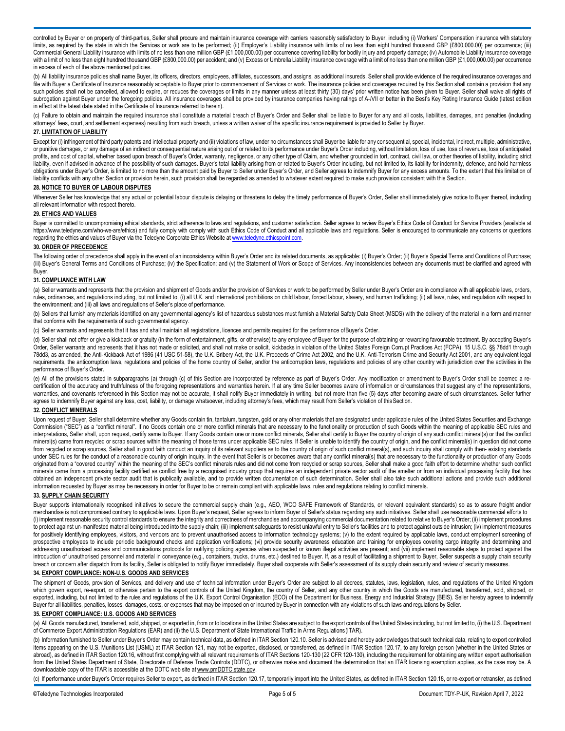controlled by Buyer or on property of third-parties, Seller shall procure and maintain insurance coverage with carriers reasonably satisfactory to Buyer, including (i) Workers' Compensation insurance with statutory limits, as required by the state in which the Services or work are to be performed; (ii) Employer's Liability insurance with limits of no less than eight hundred thousand GBP (£800,000.00) per occurrence; (iii) Commercial General Liability insurance with limits of no less than one million GBP (£1,000,000.00) per occurrence covering liability for bodily injury and property damage; (iv) Automobile Liability insurance coverage with a limit of no less than eight hundred thousand GBP (£800,000.00) per accident; and (v) Excess or Umbrella Liability insurance coverage with a limit of no less than one million GBP (£1,000,000.00) per occurrence in excess of each of the above mentioned policies.

(b) All liability insurance policies shall name Buyer, its officers, directors, employees, affiliates, successors, and assigns, as additional insureds. Seller shall provide evidence of the required insurance coverages and file with Buyer a Certificate of Insurance reasonably acceptable to Buyer prior to commencement of Services or work. The insurance policies and coverages required by this Section shall contain a provision that any such policies shall not be cancelled, allowed to expire, or reduces the coverages or limits in any manner unless at least thirty (30) days' prior written notice has been given to Buyer. Seller shall waive all rights of subrogation against Buyer under the foregoing policies. All insurance coverages shall be provided by insurance companies having ratings of A-/VII or better in the Best's Key Rating Insurance Guide (latest edition in effect at the latest date stated in the Certificate of Insurance referred to herein).

(c) Failure to obtain and maintain the required insurance shall constitute a material breach of Buyer's Order and Seller shall be liable to Buyer for any and all costs, liabilities, damages, and penalties (including attorneys' fees, court, and settlement expenses) resulting from such breach, unless a written waiver of the specific insurance requirement is provided to Seller by Buyer.

## **27. LIMITATION OF LIABILITY**

Except for (i) infringement of third party patents and intellectual property and (ii) violations of law, under no circumstances shall Buyer be liable for any consequential, special, incidental, indirect, multiple, administ or punitive damages, or any damage of an indirect or consequential nature arising out of or related to its performance under Buyer's Order including, without limitation, loss of use, loss of revenues, loss of anticipated profits, and cost of capital, whether based upon breach of Buyer's Order, warranty, negligence, or any other type of Claim, and whether grounded in tort, contract, civil law, or other theories of liability, including strict liability, even if advised in advance of the possibility of such damages. Buyer's total liability arising from or related to Buyer's Order including, but not limited to, its liability for indemnity, defence, and hold harml obligations under Buyer's Order, is limited to no more than the amount paid by Buyer to Seller under Buyer's Order, and Seller agrees to indemnify Buyer for any excess amounts. To the extent that this limitation of liability conflicts with any other Section or provision herein, such provision shall be regarded as amended to whatever extent required to make such provision consistent with this Section.

#### **28. NOTICE TO BUYER OF LABOUR DISPUTES**

Whenever Seller has knowledge that any actual or potential labour dispute is delaying or threatens to delay the timely performance of Buyer's Order, Seller shall immediately give notice to Buyer thereof, including all relevant information with respect thereto.

#### **29. ETHICS AND VALUES**

Buyer is committed to uncompromising ethical standards, strict adherence to laws and regulations, and customer satisfaction. Seller agrees to review Buyer's Ethics Code of Conduct for Service Providers (available at <https://www.teledyne.com/who-we-are/ethics>) and fully comply with comply with such Ethics Code of Conduct and all applicable laws and regulations. Seller is encouraged to communicate any concerns or questions regarding the ethics and values of Buyer via the Teledyne Corporate Ethics Website at www.teledyne.ethicspoint.com

#### **30. ORDER OF PRECEDENCE**

The following order of precedence shall apply in the event of an inconsistency within Buyer's Order and its related documents, as applicable: (i) Buyer's Order; (ii) Buyer's Special Terms and Conditions of Purchase; (iii) Buyer's General Terms and Conditions of Purchase; (iv) the Specification; and (v) the Statement of Work or Scope of Services. Any inconsistencies between any documents must be clarified and agreed with (iii) Buyer's Buyer.

#### **31. COMPLIANCE WITH LAW**

(a) Seller warrants and represents that the provision and shipment of Goods and/or the provision of Services or work to be performed by Seller under Buyer's Order are in compliance with all applicable laws, orders, rules, ordinances, and requlations including, but not limited to, (i) all U.K. and international prohibitions on child labour, forced labour, slavery, and human trafficking; (ii) all laws, rules, and requlation with respec the environment; and (iii) all laws and regulations of Seller's place of performance.

(b) Sellers that furnish any materials identified on any governmental agency's list of hazardous substances must furnish a Material Safety Data Sheet (MSDS) with the delivery of the material in a form and manner that conforms with the requirements of such governmental agency.

(c) Seller warrants and represents that it has and shall maintain all registrations, licences and permits required for the performance ofBuyer's Order.

(d) Seller shall not offer or give a kickback or gratuity (in the form of entertainment, gifts, or otherwise) to any employee of Buyer for the purpose of obtaining or rewarding favourable treatment. By accepting Buyer's Order, Seller warrants and represents that it has not made or solicited, and shall not make or solicit, kickbacks in violation of the United States Foreign Corrupt Practices Act (FCPA), 15 U.S.C. §§ 78dd1 through 78dd3, as amended, the Anti-Kickback Act of 1986 (41 USC 51-58), the U.K. Bribery Act, the U.K. Proceeds of Crime Act 2002, and the U.K. Anti-Terrorism Crime and Security Act 2001, and any equivalent legal requirements, the anticorruption laws, regulations and policies of the home country of Seller, and/or the anticorruption laws, regulations and policies of any other country with jurisdiction over the activities in the performance of Buyer's Order.

(e) All of the provisions stated in subparagraphs (a) through (c) of this Section are incorporated by reference as part of Buyer's Order. Any modification or amendment to Buyer's Order shall be deemed a recertification of the accuracy and truthfulness of the foregoing representations and warranties herein. If at any time Seller becomes aware of information or circumstances that suggest any of the representations, warranties, and covenants referenced in this Section may not be accurate, it shall notify Buyer immediately in writing, but not more than five (5) days after becoming aware of such circumstances. Seller further agrees to indemnify Buyer against any loss, cost, liability, or damage whatsoever, including attorney's fees, which may result from Seller's violation of thisSection.

# **32. CONFLICT MINERALS**

Upon request of Buyer, Seller shall determine whether any Goods contain tin, tantalum, tungsten, gold or any other materials that are designated under applicable rules of the United States Securities and Exchange Commission ("SEC") as a "conflict mineral". If no Goods contain one or more conflict minerals that are necessary to the functionality or production of such Goods within the meaning of applicable SEC rules and interpretations, Seller shall, upon request, certify same to Buyer. If any Goods contain one or more conflict minerals, Seller shall certify to Buyer the country of origin of any such conflict mineral(s) or that the confli mineral(s) came from recycled or scrap sources within the meaning of those terms under applicable SEC rules. If Seller is unable to identify the country of origin, and the conflict mineral(s) in question did not come miner from recycled or scrap sources, Seller shall in good faith conduct an inquiry of its relevant suppliers as to the country of origin of such conflict mineral(s), and such inquiry shall comply with then- existing standards under SEC rules for the conduct of a reasonable country of origin inquiry. In the event that Seller is or becomes aware that any conflict mineral(s) that are necessary to the functionality or production of any Goods originated from a "covered country" within the meaning of the SEC's conflict minerals rules and did not come from recycled or scrap sources, Seller shall make a good faith effort to determine whether such conflict minerals came from a processing facility certified as conflict free by a recognised industry group that requires an independent private sector audit of the smelter or from an individual processing facility that has obtained an independent private sector audit that is publically available, and to provide written documentation of such determination. Seller shall also take such additional actions and provide such additional information requested by Buyer as may be necessary in order for Buyer to be or remain compliant with applicable laws, rules and regulations relating to conflict minerals.

#### **33. SUPPLY CHAIN SECURITY**

Buyer supports internationally recognised initiatives to secure the commercial supply chain (e.g., AEO, WCO SAFE Framework of Standards, or relevant equivalent standards) so as to assure freight and/or merchandise is not compromised contrary to applicable laws. Upon Buyer's request, Seller agrees to inform Buyer of Seller's status regarding any such initiatives. Seller shall use reasonable commercial efforts to (i) implement reasonable security control standards to ensure the integrity and correctness of merchandise and accompanying commercial documentation related to relative to Buyer's Order; (ii) implement procedures to protect against un-manifested material being introduced into the supply chain; (iii) implement safeguards to resist unlawful entry to Seller's facilities and to protect against outside intrusion; (iv) implement measures for positively identifying employees, visitors, and vendors and to prevent unauthorised access to information technology systems; (v) to the extent required by applicable laws, conduct employment screening of prospective employees to include periodic background checks and application verifications; (vi) provide security awareness education and training for employees covering cargo integrity and determining and addressing unauthorised access and communications protocols for notifying policing agencies when suspected or known illegal activities are present; and (vii) implement reasonable steps to protect against the introduction of unauthorised personnel and material in conveyance (e.g., containers, trucks, drums, etc.) destined to Buyer. If, as a result of facilitating a shipment to Buyer, Seller suspects a supply chain security breach or concern after dispatch from its facility, Seller is obligated to notify Buyer immediately. Buyer shall cooperate with Seller's assessment of its supply chain security and review of security measures.

## **34. EXPORT COMPLIANCE: NON-U.S. GOODS AND SERVICES**

The shipment of Goods, provision of Services, and delivery and use of technical information under Buyer's Order are subject to all decrees, statutes, laws, legislation, rules, and regulations of the United Kingdom which govern export, re-export, or otherwise pertain to the export controls of the United Kingdom, the country of Seller, and any other country in which the Goods are manufactured, transferred, sold, shipped, or exported, including, but not limited to the rules and regulations of the U.K. Export Control Organisation (ECO) of the Department for Business, Energy and Industrial Strategy (BEIS). Seller hereby agrees to indemnify Buyer for all liabilities, penalties, losses, damages, costs, or expenses that may be imposed on or incurred by Buyer in connection with any violations of such laws and regulations by Seller.

## **35. EXPORT COMPLIANCE: U.S. GOODS AND SERVICES**

(a) All Goods manufactured, transferred, sold, shipped, or exported in, from or to locations in the United States are subject to the export controls of the United States including, but not limited to, (i) the U.S. Departme of Commerce Export Administration Regulations (EAR) and (ii) the U.S. Department of State International Traffic in Arms Regulations(ITAR).

(b) Information furnished to Seller under Buyer's Order may contain technical data, as defined in ITAR Section 120.10. Seller is advised and hereby acknowledges that such technical data, relating to export controlled items appearing on the U.S. Munitions List (USML) at ITAR Section 121, may not be exported, disclosed, or transferred, as defined in ITAR Section 120.17, to any foreign person (whether in the United States or abroad), as defined in ITAR Section 120.16, without first complying with all relevant requirements of ITAR Sections 120-130 (22 CFR 120-130), including the requirement for obtaining any written export authorisation from the United States Department of State, Directorate of Defense Trade Controls (DDTC), or otherwise make and document the determination that an ITAR licensing exemption applies, as the case may be. A downloadable copy of the ITAR is accessible at the DDTC web site at [www.pmDDTC.state.gov.](http://www.pmddtc.state.gov/)

(c) If performance under Buyer's Order requires Seller to export, as defined in ITAR Section 120.17, temporarily import into the United States, as defined in ITAR Section 120.18, or re-export or retransfer, as defined